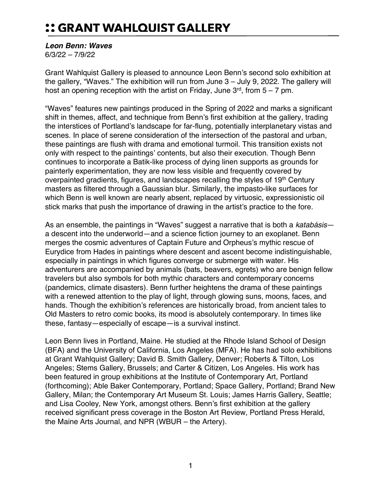## :: GRANT WAHLQUIST GALLERY

## *Leon Benn: Waves*

6/3/22 – 7/9/22

Grant Wahlquist Gallery is pleased to announce Leon Benn's second solo exhibition at the gallery, "Waves." The exhibition will run from June 3 – July 9, 2022. The gallery will host an opening reception with the artist on Friday, June  $3<sup>rd</sup>$ , from  $5-7$  pm.

"Waves" features new paintings produced in the Spring of 2022 and marks a significant shift in themes, affect, and technique from Benn's first exhibition at the gallery, trading the interstices of Portland's landscape for far-flung, potentially interplanetary vistas and scenes. In place of serene consideration of the intersection of the pastoral and urban, these paintings are flush with drama and emotional turmoil. This transition exists not only with respect to the paintings' contents, but also their execution. Though Benn continues to incorporate a Batik-like process of dying linen supports as grounds for painterly experimentation, they are now less visible and frequently covered by overpainted gradients, figures, and landscapes recalling the styles of 19<sup>th</sup> Century masters as filtered through a Gaussian blur. Similarly, the impasto-like surfaces for which Benn is well known are nearly absent, replaced by virtuosic, expressionistic oil stick marks that push the importance of drawing in the artist's practice to the fore.

As an ensemble, the paintings in "Waves" suggest a narrative that is both a *katabásis* a descent into the underworld—and a science fiction journey to an exoplanet. Benn merges the cosmic adventures of Captain Future and Orpheus's mythic rescue of Eurydice from Hades in paintings where descent and ascent become indistinguishable, especially in paintings in which figures converge or submerge with water. His adventurers are accompanied by animals (bats, beavers, egrets) who are benign fellow travelers but also symbols for both mythic characters and contemporary concerns (pandemics, climate disasters). Benn further heightens the drama of these paintings with a renewed attention to the play of light, through glowing suns, moons, faces, and hands. Though the exhibition's references are historically broad, from ancient tales to Old Masters to retro comic books, its mood is absolutely contemporary. In times like these, fantasy—especially of escape—is a survival instinct.

Leon Benn lives in Portland, Maine. He studied at the Rhode Island School of Design (BFA) and the University of California, Los Angeles (MFA). He has had solo exhibitions at Grant Wahlquist Gallery; David B. Smith Gallery, Denver; Roberts & Tilton, Los Angeles; Stems Gallery, Brussels; and Carter & Citizen, Los Angeles. His work has been featured in group exhibitions at the Institute of Contemporary Art, Portland (forthcoming); Able Baker Contemporary, Portland; Space Gallery, Portland; Brand New Gallery, Milan; the Contemporary Art Museum St. Louis; James Harris Gallery, Seattle; and Lisa Cooley, New York, amongst others. Benn's first exhibition at the gallery received significant press coverage in the Boston Art Review, Portland Press Herald, the Maine Arts Journal, and NPR (WBUR – the Artery).